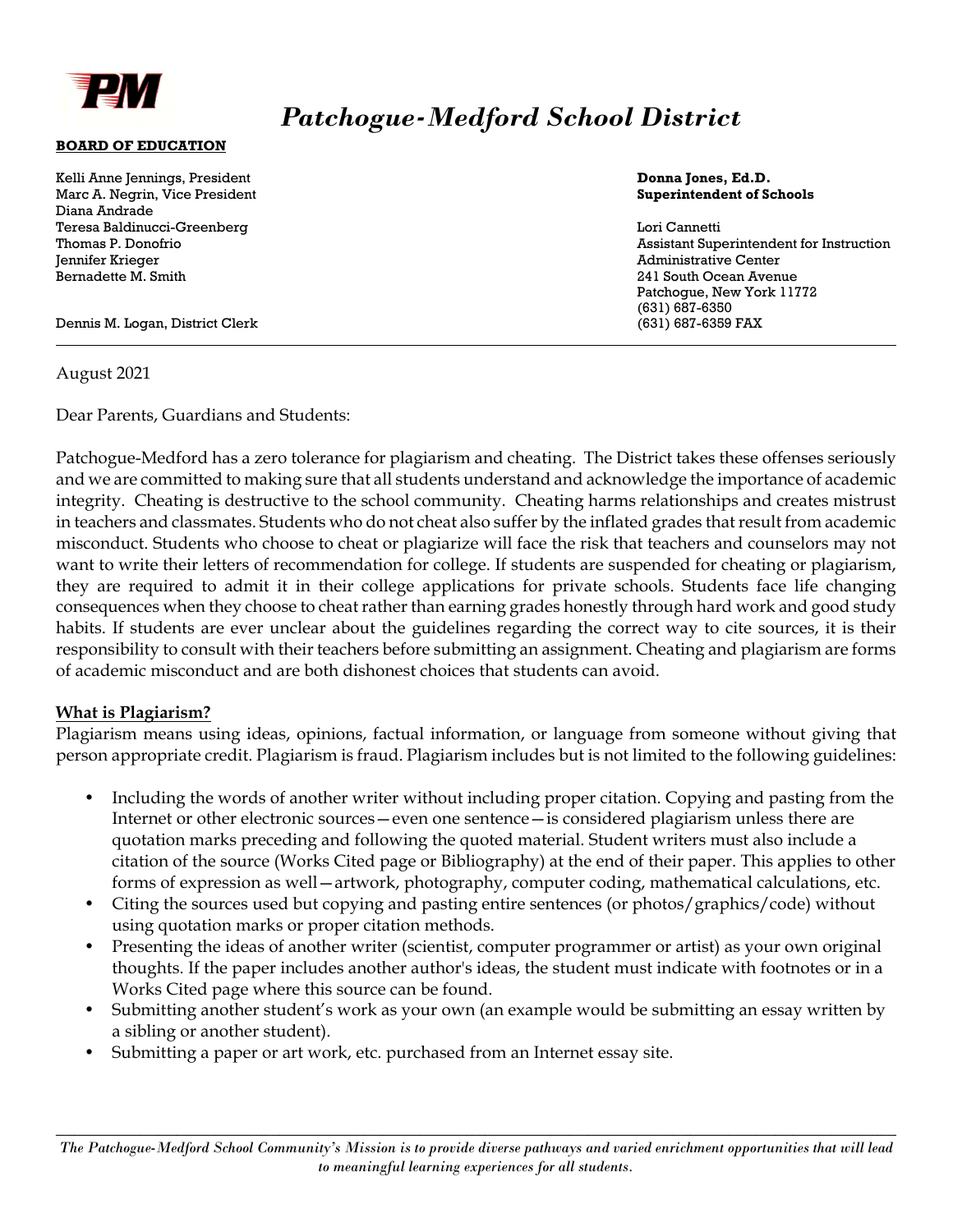

# *Patchogue-Medford School District*

#### **BOARD OF EDUCATION**

| Kelli Anne Jennings, President  | Donna Jones, Ed.D.                       |
|---------------------------------|------------------------------------------|
| Marc A. Negrin, Vice President  | <b>Superintendent of Schools</b>         |
| Diana Andrade                   |                                          |
| Teresa Baldinucci-Greenberg     | Lori Cannetti                            |
| Thomas P. Donofrio              | Assistant Superintendent for Instruction |
| Jennifer Krieger                | <b>Administrative Center</b>             |
| Bernadette M. Smith             | 241 South Ocean Avenue                   |
|                                 | Patchoque, New York 11772                |
|                                 | (631) 687-6350                           |
| Dennis M. Logan, District Clerk | (631) 687-6359 FAX                       |

#### August 2021

 $\overline{a}$ 

Dear Parents, Guardians and Students:

Patchogue-Medford has a zero tolerance for plagiarism and cheating. The District takes these offenses seriously and we are committed to making sure that all students understand and acknowledge the importance of academic integrity. Cheating is destructive to the school community. Cheating harms relationships and creates mistrust in teachers and classmates. Students who do not cheat also suffer by the inflated grades that result from academic misconduct. Students who choose to cheat or plagiarize will face the risk that teachers and counselors may not want to write their letters of recommendation for college. If students are suspended for cheating or plagiarism, they are required to admit it in their college applications for private schools. Students face life changing consequences when they choose to cheat rather than earning grades honestly through hard work and good study habits. If students are ever unclear about the guidelines regarding the correct way to cite sources, it is their responsibility to consult with their teachers before submitting an assignment. Cheating and plagiarism are forms of academic misconduct and are both dishonest choices that students can avoid.

#### **What is Plagiarism?**

Plagiarism means using ideas, opinions, factual information, or language from someone without giving that person appropriate credit. Plagiarism is fraud. Plagiarism includes but is not limited to the following guidelines:

- Including the words of another writer without including proper citation. Copying and pasting from the Internet or other electronic sources—even one sentence—is considered plagiarism unless there are quotation marks preceding and following the quoted material. Student writers must also include a citation of the source (Works Cited page or Bibliography) at the end of their paper. This applies to other forms of expression as well-artwork, photography, computer coding, mathematical calculations, etc.
- Citing the sources used but copying and pasting entire sentences (or photos/graphics/code) without using quotation marks or proper citation methods.
- Presenting the ideas of another writer (scientist, computer programmer or artist) as your own original thoughts. If the paper includes another author's ideas, the student must indicate with footnotes or in a Works Cited page where this source can be found.
- Submitting another student's work as your own (an example would be submitting an essay written by a sibling or another student).
- Submitting a paper or art work, etc. purchased from an Internet essay site.